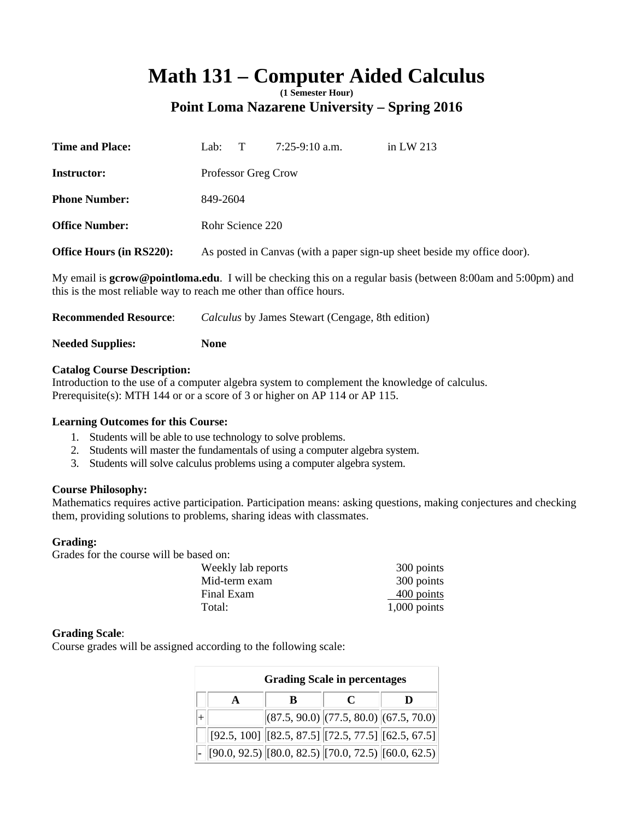# Math 131 – Computer Aided Calculus

**Point Loma Nazarene University – Spring 2016** 

| <b>Time and Place:</b>   | Lab:                                                                    | Т                   | $7:25-9:10$ a.m. | in LW $213$ |
|--------------------------|-------------------------------------------------------------------------|---------------------|------------------|-------------|
| <b>Instructor:</b>       |                                                                         | Professor Greg Crow |                  |             |
| <b>Phone Number:</b>     | 849-2604                                                                |                     |                  |             |
| <b>Office Number:</b>    |                                                                         | Rohr Science 220    |                  |             |
| Office Hours (in RS220): | As posted in Canvas (with a paper sign-up sheet beside my office door). |                     |                  |             |
|                          |                                                                         |                     |                  |             |

My email is **gcrow@pointloma.edu**. I will be checking this on a regular basis (between 8:00am and 5:00pm) and this is the most reliable way to reach me other than office hours.

| <b>Recommended Resource:</b> | <i>Calculus</i> by James Stewart (Cengage, 8th edition) |
|------------------------------|---------------------------------------------------------|
| <b>Needed Supplies:</b>      | None                                                    |

# **Catalog Course Description:**

Introduction to the use of a computer algebra system to complement the knowledge of calculus. Prerequisite(s): MTH 144 or or a score of 3 or higher on AP 114 or AP 115.

## **Learning Outcomes for this Course:**

- 1. Students will be able to use technology to solve problems.
- 2. Students will master the fundamentals of using a computer algebra system.
- 3. Students will solve calculus problems using a computer algebra system.

## **Course Philosophy:**

Mathematics requires active participation. Participation means: asking questions, making conjectures and checking them, providing solutions to problems, sharing ideas with classmates.

## **Grading:**

Grades for the course will be based on:

| Weekly lab reports | 300 points     |
|--------------------|----------------|
| Mid-term exam      | 300 points     |
| Final Exam         | $400$ points   |
| Total:             | $1,000$ points |

## **Grading Scale**:

Course grades will be assigned according to the following scale:

| <b>Grading Scale in percentages</b> |   |                                                                                                                                                                                                                                  |   |  |  |
|-------------------------------------|---|----------------------------------------------------------------------------------------------------------------------------------------------------------------------------------------------------------------------------------|---|--|--|
|                                     | R | $\mathcal C$                                                                                                                                                                                                                     | D |  |  |
|                                     |   | $\left  (87.5, 90.0) \right  (77.5, 80.0) \left  (67.5, 70.0) \right $                                                                                                                                                           |   |  |  |
|                                     |   | $\left  \begin{bmatrix} 92.5, 100 \end{bmatrix} \right  \left[ \begin{bmatrix} 82.5, 87.5 \end{bmatrix} \right  \left[ \begin{bmatrix} 72.5, 77.5 \end{bmatrix} \right  \left[ \begin{bmatrix} 62.5, 67.5 \end{bmatrix} \right]$ |   |  |  |
|                                     |   | $[90.0, 92.5]$ $[80.0, 82.5]$ $[70.0, 72.5]$ $[60.0, 62.5]$                                                                                                                                                                      |   |  |  |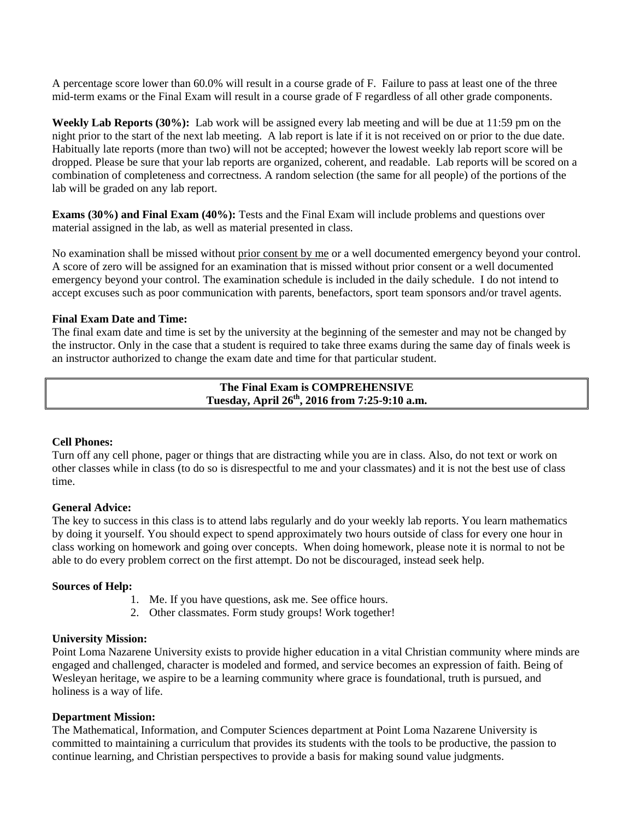A percentage score lower than 60.0% will result in a course grade of F. Failure to pass at least one of the three mid-term exams or the Final Exam will result in a course grade of F regardless of all other grade components.

**Weekly Lab Reports (30%):** Lab work will be assigned every lab meeting and will be due at 11:59 pm on the night prior to the start of the next lab meeting. A lab report is late if it is not received on or prior to the due date. Habitually late reports (more than two) will not be accepted; however the lowest weekly lab report score will be dropped. Please be sure that your lab reports are organized, coherent, and readable. Lab reports will be scored on a combination of completeness and correctness. A random selection (the same for all people) of the portions of the lab will be graded on any lab report.

**Exams (30%) and Final Exam (40%):** Tests and the Final Exam will include problems and questions over material assigned in the lab, as well as material presented in class.

No examination shall be missed without prior consent by me or a well documented emergency beyond your control. A score of zero will be assigned for an examination that is missed without prior consent or a well documented emergency beyond your control. The examination schedule is included in the daily schedule. I do not intend to accept excuses such as poor communication with parents, benefactors, sport team sponsors and/or travel agents.

## **Final Exam Date and Time:**

The final exam date and time is set by the university at the beginning of the semester and may not be changed by the instructor. Only in the case that a student is required to take three exams during the same day of finals week is an instructor authorized to change the exam date and time for that particular student.

## **The Final Exam is COMPREHENSIVE Tuesday, April 26th, 2016 from 7:25-9:10 a.m.**

#### **Cell Phones:**

Turn off any cell phone, pager or things that are distracting while you are in class. Also, do not text or work on other classes while in class (to do so is disrespectful to me and your classmates) and it is not the best use of class time.

#### **General Advice:**

The key to success in this class is to attend labs regularly and do your weekly lab reports. You learn mathematics by doing it yourself. You should expect to spend approximately two hours outside of class for every one hour in class working on homework and going over concepts. When doing homework, please note it is normal to not be able to do every problem correct on the first attempt. Do not be discouraged, instead seek help.

#### **Sources of Help:**

- 1. Me. If you have questions, ask me. See office hours.
- 2. Other classmates. Form study groups! Work together!

#### **University Mission:**

Point Loma Nazarene University exists to provide higher education in a vital Christian community where minds are engaged and challenged, character is modeled and formed, and service becomes an expression of faith. Being of Wesleyan heritage, we aspire to be a learning community where grace is foundational, truth is pursued, and holiness is a way of life.

#### **Department Mission:**

The Mathematical, Information, and Computer Sciences department at Point Loma Nazarene University is committed to maintaining a curriculum that provides its students with the tools to be productive, the passion to continue learning, and Christian perspectives to provide a basis for making sound value judgments.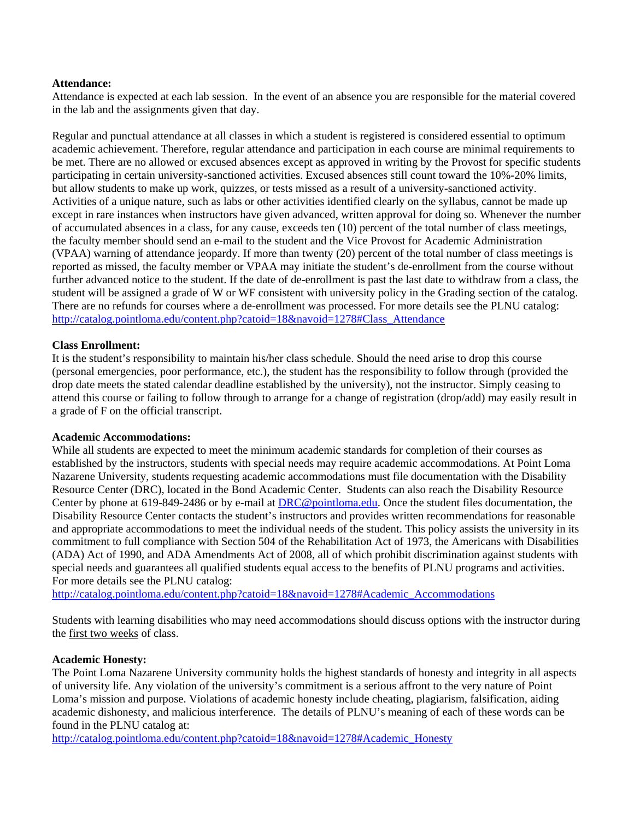## **Attendance:**

Attendance is expected at each lab session. In the event of an absence you are responsible for the material covered in the lab and the assignments given that day.

Regular and punctual attendance at all classes in which a student is registered is considered essential to optimum academic achievement. Therefore, regular attendance and participation in each course are minimal requirements to be met. There are no allowed or excused absences except as approved in writing by the Provost for specific students participating in certain university-sanctioned activities. Excused absences still count toward the 10%-20% limits, but allow students to make up work, quizzes, or tests missed as a result of a university-sanctioned activity. Activities of a unique nature, such as labs or other activities identified clearly on the syllabus, cannot be made up except in rare instances when instructors have given advanced, written approval for doing so. Whenever the number of accumulated absences in a class, for any cause, exceeds ten (10) percent of the total number of class meetings, the faculty member should send an e-mail to the student and the Vice Provost for Academic Administration (VPAA) warning of attendance jeopardy. If more than twenty (20) percent of the total number of class meetings is reported as missed, the faculty member or VPAA may initiate the student's de-enrollment from the course without further advanced notice to the student. If the date of de-enrollment is past the last date to withdraw from a class, the student will be assigned a grade of W or WF consistent with university policy in the Grading section of the catalog. There are no refunds for courses where a de-enrollment was processed. For more details see the PLNU catalog: http://catalog.pointloma.edu/content.php?catoid=18&navoid=1278#Class\_Attendance

#### **Class Enrollment:**

It is the student's responsibility to maintain his/her class schedule. Should the need arise to drop this course (personal emergencies, poor performance, etc.), the student has the responsibility to follow through (provided the drop date meets the stated calendar deadline established by the university), not the instructor. Simply ceasing to attend this course or failing to follow through to arrange for a change of registration (drop/add) may easily result in a grade of F on the official transcript.

#### **Academic Accommodations:**

While all students are expected to meet the minimum academic standards for completion of their courses as established by the instructors, students with special needs may require academic accommodations. At Point Loma Nazarene University, students requesting academic accommodations must file documentation with the Disability Resource Center (DRC), located in the Bond Academic Center. Students can also reach the Disability Resource Center by phone at 619-849-2486 or by e-mail at DRC@pointloma.edu. Once the student files documentation, the Disability Resource Center contacts the student's instructors and provides written recommendations for reasonable and appropriate accommodations to meet the individual needs of the student. This policy assists the university in its commitment to full compliance with Section 504 of the Rehabilitation Act of 1973, the Americans with Disabilities (ADA) Act of 1990, and ADA Amendments Act of 2008, all of which prohibit discrimination against students with special needs and guarantees all qualified students equal access to the benefits of PLNU programs and activities. For more details see the PLNU catalog:

http://catalog.pointloma.edu/content.php?catoid=18&navoid=1278#Academic\_Accommodations

Students with learning disabilities who may need accommodations should discuss options with the instructor during the first two weeks of class.

#### **Academic Honesty:**

The Point Loma Nazarene University community holds the highest standards of honesty and integrity in all aspects of university life. Any violation of the university's commitment is a serious affront to the very nature of Point Loma's mission and purpose. Violations of academic honesty include cheating, plagiarism, falsification, aiding academic dishonesty, and malicious interference. The details of PLNU's meaning of each of these words can be found in the PLNU catalog at:

http://catalog.pointloma.edu/content.php?catoid=18&navoid=1278#Academic\_Honesty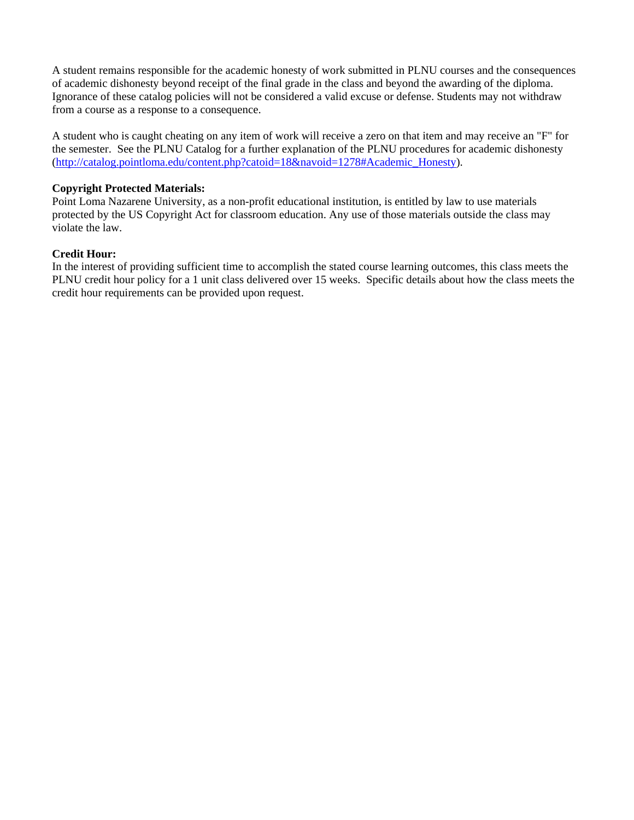A student remains responsible for the academic honesty of work submitted in PLNU courses and the consequences of academic dishonesty beyond receipt of the final grade in the class and beyond the awarding of the diploma. Ignorance of these catalog policies will not be considered a valid excuse or defense. Students may not withdraw from a course as a response to a consequence.

A student who is caught cheating on any item of work will receive a zero on that item and may receive an "F" for the semester. See the PLNU Catalog for a further explanation of the PLNU procedures for academic dishonesty (http://catalog.pointloma.edu/content.php?catoid=18&navoid=1278#Academic\_Honesty).

# **Copyright Protected Materials:**

Point Loma Nazarene University, as a non-profit educational institution, is entitled by law to use materials protected by the US Copyright Act for classroom education. Any use of those materials outside the class may violate the law.

# **Credit Hour:**

In the interest of providing sufficient time to accomplish the stated course learning outcomes, this class meets the PLNU credit hour policy for a 1 unit class delivered over 15 weeks. Specific details about how the class meets the credit hour requirements can be provided upon request.